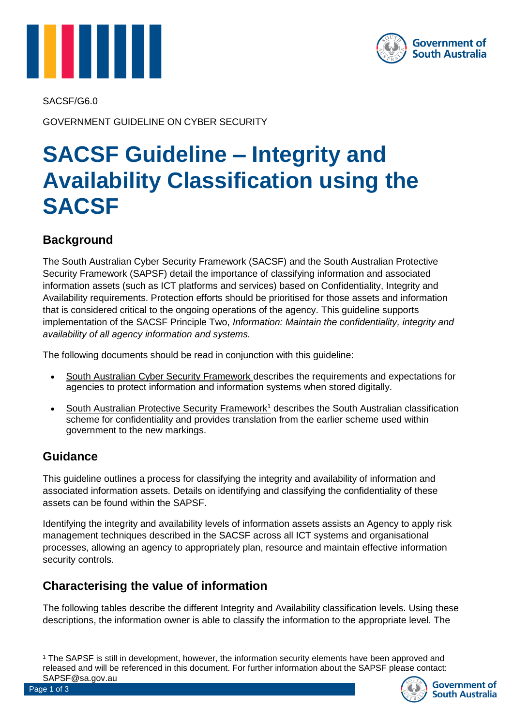



SACSF/G6.0

GOVERNMENT GUIDELINE ON CYBER SECURITY

# **SACSF Guideline – Integrity and Availability Classification using the SACSF**

### **Background**

The South Australian Cyber Security Framework (SACSF) and the South Australian Protective Security Framework (SAPSF) detail the importance of classifying information and associated information assets (such as ICT platforms and services) based on Confidentiality, Integrity and Availability requirements. Protection efforts should be prioritised for those assets and information that is considered critical to the ongoing operations of the agency. This guideline supports implementation of the SACSF Principle Two, *Information: Maintain the confidentiality, integrity and availability of all agency information and systems.*

The following documents should be read in conjunction with this guideline:

- South Australian Cyber Security Framework describes the requirements and expectations for agencies to protect information and information systems when stored digitally.
- South Australian Protective Security Framework<sup>1</sup> describes the South Australian classification scheme for confidentiality and provides translation from the earlier scheme used within government to the new markings.

### **Guidance**

This guideline outlines a process for classifying the integrity and availability of information and associated information assets. Details on identifying and classifying the confidentiality of these assets can be found within the SAPSF.

Identifying the integrity and availability levels of information assets assists an Agency to apply risk management techniques described in the SACSF across all ICT systems and organisational processes, allowing an agency to appropriately plan, resource and maintain effective information security controls.

### **Characterising the value of information**

The following tables describe the different Integrity and Availability classification levels. Using these descriptions, the information owner is able to classify the information to the appropriate level. The

<sup>1</sup> The SAPSF is still in development, however, the information security elements have been approved and released and will be referenced in this document. For further information about the SAPSF please contact: SAPSF@sa.gov.au



 $\overline{a}$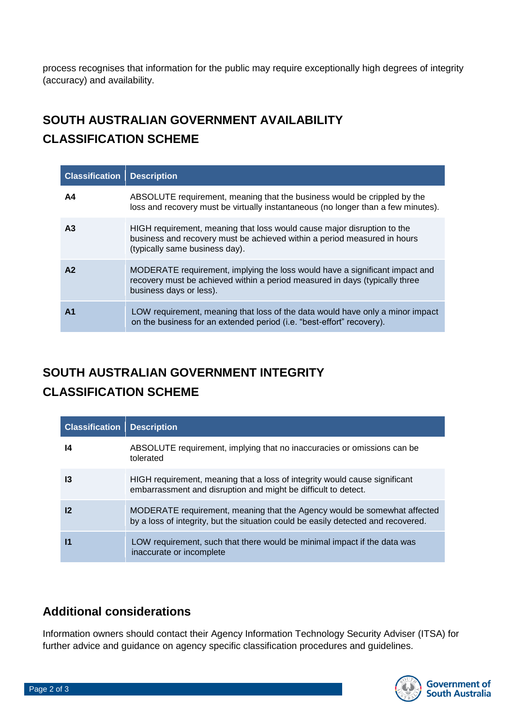process recognises that information for the public may require exceptionally high degrees of integrity (accuracy) and availability.

## **SOUTH AUSTRALIAN GOVERNMENT AVAILABILITY CLASSIFICATION SCHEME**

| <b>Classification</b> | <b>Description</b>                                                                                                                                                                    |
|-----------------------|---------------------------------------------------------------------------------------------------------------------------------------------------------------------------------------|
| A4                    | ABSOLUTE requirement, meaning that the business would be crippled by the<br>loss and recovery must be virtually instantaneous (no longer than a few minutes).                         |
| A <sub>3</sub>        | HIGH requirement, meaning that loss would cause major disruption to the<br>business and recovery must be achieved within a period measured in hours<br>(typically same business day). |
| A2                    | MODERATE requirement, implying the loss would have a significant impact and<br>recovery must be achieved within a period measured in days (typically three<br>business days or less). |
| A <sub>1</sub>        | LOW requirement, meaning that loss of the data would have only a minor impact<br>on the business for an extended period (i.e. "best-effort" recovery).                                |

### **SOUTH AUSTRALIAN GOVERNMENT INTEGRITY CLASSIFICATION SCHEME**

| <b>Classification</b> | <b>Description</b>                                                                                                                                            |
|-----------------------|---------------------------------------------------------------------------------------------------------------------------------------------------------------|
| 14                    | ABSOLUTE requirement, implying that no inaccuracies or omissions can be<br>tolerated                                                                          |
| 13                    | HIGH requirement, meaning that a loss of integrity would cause significant<br>embarrassment and disruption and might be difficult to detect.                  |
| 12                    | MODERATE requirement, meaning that the Agency would be somewhat affected<br>by a loss of integrity, but the situation could be easily detected and recovered. |
| $\mathbf{I}$          | LOW requirement, such that there would be minimal impact if the data was<br>inaccurate or incomplete                                                          |

### **Additional considerations**

Information owners should contact their Agency Information Technology Security Adviser (ITSA) for further advice and guidance on agency specific classification procedures and guidelines.